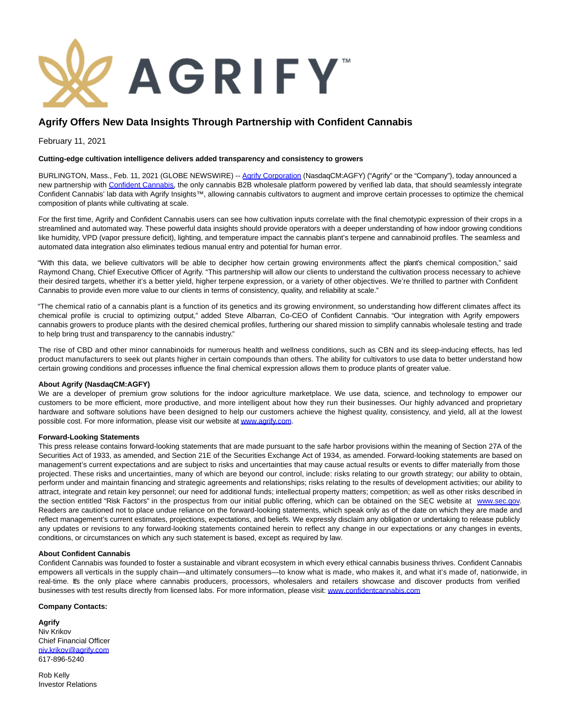

# **Agrify Offers New Data Insights Through Partnership with Confident Cannabis**

February 11, 2021

## **Cutting-edge cultivation intelligence delivers added transparency and consistency to growers**

BURLINGTON, Mass., Feb. 11, 2021 (GLOBE NEWSWIRE) -[- Agrify Corporation \(](https://www.globenewswire.com/Tracker?data=yqB7DU9krum51b05dqdQGo-WmaPVHxILJhjEbhB94dwkfeQx_BHkM87AJMLIwnzWCm5SOXROuqvolAqfRHnI1w==)NasdaqCM:AGFY) ("Agrify" or the "Company"), today announced a new partnership with [Confident Cannabis,](https://www.globenewswire.com/Tracker?data=kSjJHGSJ4NUoSRlq0y7fvwPYQAthJ4ZjekoQ9Z6YI2wFPWGpbSCjl6DBuwJtCawNObaQJZ82-OpTlrZbQ41Uvtb9GjTjTnNrH8bbygUuXwM1Ilw7YMVv0Jia8raYkk5_XmZkIT0sl312picn81SfIiPSEdoVncldepg6Jzq0gY_5bRthwGJoLPtjK9GFHWAeVHo0ZOARrmDeYgYu5hw4DBfXjM_xbQd_FoRKsTDIRf_a8o5huUNYoSi3KYpWJoBk) the only cannabis B2B wholesale platform powered by verified lab data, that should seamlessly integrate Confident Cannabis' lab data with Agrify Insights™, allowing cannabis cultivators to augment and improve certain processes to optimize the chemical composition of plants while cultivating at scale.

For the first time, Agrify and Confident Cannabis users can see how cultivation inputs correlate with the final chemotypic expression of their crops in a streamlined and automated way. These powerful data insights should provide operators with a deeper understanding of how indoor growing conditions like humidity, VPD (vapor pressure deficit), lighting, and temperature impact the cannabis plant's terpene and cannabinoid profiles. The seamless and automated data integration also eliminates tedious manual entry and potential for human error.

"With this data, we believe cultivators will be able to decipher how certain growing environments affect the plant's chemical composition," said Raymond Chang, Chief Executive Officer of Agrify. "This partnership will allow our clients to understand the cultivation process necessary to achieve their desired targets, whether it's a better yield, higher terpene expression, or a variety of other objectives. We're thrilled to partner with Confident Cannabis to provide even more value to our clients in terms of consistency, quality, and reliability at scale."

"The chemical ratio of a cannabis plant is a function of its genetics and its growing environment, so understanding how different climates affect its chemical profile is crucial to optimizing output," added Steve Albarran, Co-CEO of Confident Cannabis. "Our integration with Agrify empowers cannabis growers to produce plants with the desired chemical profiles, furthering our shared mission to simplify cannabis wholesale testing and trade to help bring trust and transparency to the cannabis industry."

The rise of CBD and other minor cannabinoids for numerous health and wellness conditions, such as CBN and its sleep-inducing effects, has led product manufacturers to seek out plants higher in certain compounds than others. The ability for cultivators to use data to better understand how certain growing conditions and processes influence the final chemical expression allows them to produce plants of greater value.

#### **About Agrify (NasdaqCM:AGFY)**

We are a developer of premium grow solutions for the indoor agriculture marketplace. We use data, science, and technology to empower our customers to be more efficient, more productive, and more intelligent about how they run their businesses. Our highly advanced and proprietary hardware and software solutions have been designed to help our customers achieve the highest quality, consistency, and yield, all at the lowest possible cost. For more information, please visit our website a[t www.agrify.com.](https://www.globenewswire.com/Tracker?data=tT-jjg2-2S205SrMh_gxXQEuzFdqlDdqO-ulqOPo8rEQnveDgAJm9TT-kG3nA3x6LDJWjoqNHGSar_lYyybCYw==)

#### **Forward-Looking Statements**

This press release contains forward-looking statements that are made pursuant to the safe harbor provisions within the meaning of Section 27A of the Securities Act of 1933, as amended, and Section 21E of the Securities Exchange Act of 1934, as amended. Forward-looking statements are based on management's current expectations and are subject to risks and uncertainties that may cause actual results or events to differ materially from those projected. These risks and uncertainties, many of which are beyond our control, include: risks relating to our growth strategy; our ability to obtain, perform under and maintain financing and strategic agreements and relationships; risks relating to the results of development activities; our ability to attract, integrate and retain key personnel; our need for additional funds; intellectual property matters; competition; as well as other risks described in the section entitled "Risk Factors" in the prospectus from our initial public offering, which can be obtained on the SEC website at [www.sec.gov.](https://www.globenewswire.com/Tracker?data=yCKr8Un_jYBRvhQqCqLFxhbc2aPEwzDK26GxBxpvURropFMaNUG_7OlBI9DuTFQSAc-0rYOoqFe_91Uv3_6WHw==) Readers are cautioned not to place undue reliance on the forward-looking statements, which speak only as of the date on which they are made and reflect management's current estimates, projections, expectations, and beliefs. We expressly disclaim any obligation or undertaking to release publicly any updates or revisions to any forward-looking statements contained herein to reflect any change in our expectations or any changes in events, conditions, or circumstances on which any such statement is based, except as required by law.

#### **About Confident Cannabis**

Confident Cannabis was founded to foster a sustainable and vibrant ecosystem in which every ethical cannabis business thrives. Confident Cannabis empowers all verticals in the supply chain—and ultimately consumers—to know what is made, who makes it, and what it's made of, nationwide, in real-time. It's the only place where cannabis producers, processors, wholesalers and retailers showcase and discover products from verified businesses with test results directly from licensed labs. For more information, please visit: [www.confidentcannabis.com](https://www.globenewswire.com/Tracker?data=9K8lNuJ1hvmbW183Es8rX5z37YXrwIpDlVx532hwCN2JvUFZJVlnEa7Q8SaLbww_HFw3-W-juyIKFtMccpWNGazW6Z-D2c7OWIzxH2F2UAE=)

### **Company Contacts:**

**Agrify** Niv Krikov Chief Financial Officer [niv.krikov@agrify.com](https://www.globenewswire.com/Tracker?data=Axot_V0OD-9Bsu4m-7jlq0GuLWEKIy6HoFfc5KUIih3Xmpuv_SMyaJx8U-4GE9cP5HqbZaf-LssiD_LnfZdEVM99_J68YSYMQX6SmQn0aF8=) 617-896-5240

Rob Kelly Investor Relations